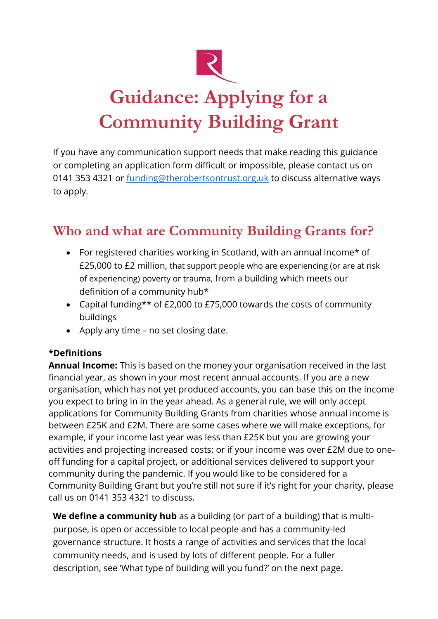

# **Guidance: Applying for a Community Building Grant**

If you have any communication support needs that make reading this guidance or completing an application form difficult or impossible, please contact us on 0141 353 4321 or [funding@therobertsontrust.org.uk](mailto:funding@therobertsontrust.org.uk) to discuss alternative ways to apply.

## **Who and what are Community Building Grants for?**

- For registered charities working in Scotland, with an annual income\* of £25,000 to £2 million, that support people who are experiencing (or are at risk of experiencing) poverty or trauma, from a building which meets our definition of a community hub\*
- Capital funding\*\* of £2,000 to £75,000 towards the costs of community buildings
- Apply any time no set closing date.

#### **\*Definitions**

**Annual Income:** This is based on the money your organisation received in the last financial year, as shown in your most recent annual accounts. If you are a new organisation, which has not yet produced accounts, you can base this on the income you expect to bring in in the year ahead. As a general rule, we will only accept applications for Community Building Grants from charities whose annual income is between £25K and £2M. There are some cases where we will make exceptions, for example, if your income last year was less than £25K but you are growing your activities and projecting increased costs; or if your income was over £2M due to oneoff funding for a capital project, or additional services delivered to support your community during the pandemic. If you would like to be considered for a Community Building Grant but you're still not sure if it's right for your charity, please call us on 0141 353 4321 to discuss.

**We define a community hub** as a building (or part of a building) that is multipurpose, is open or accessible to local people and has a community-led governance structure. It hosts a range of activities and services that the local community needs, and is used by lots of different people. For a fuller description, see 'What type of building will you fund?' on the next page.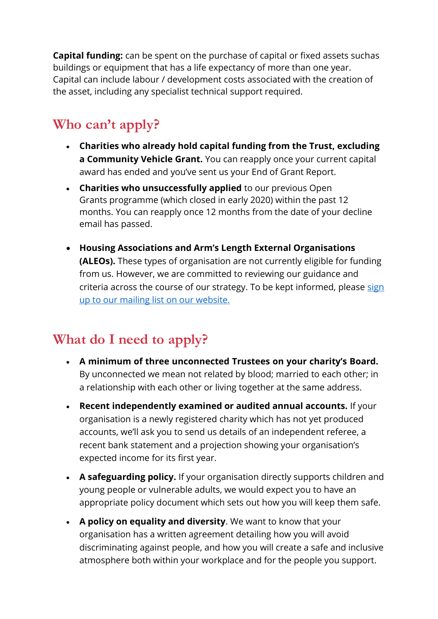**Capital funding:** can be spent on the purchase of capital or fixed assets suchas buildings or equipment that has a life expectancy of more than one year. Capital can include labour / development costs associated with the creation of the asset, including any specialist technical support required.

# **Who can't apply?**

- **Charities who already hold capital funding from the Trust, excluding a Community Vehicle Grant.** You can reapply once your current capital award has ended and you've sent us your End of Grant Report.
- **Charities who unsuccessfully applied** to our previous Open Grants programme (which closed in early 2020) within the past 12 months. You can reapply once 12 months from the date of your decline email has passed.
- **Housing Associations and Arm's Length External Organisations (ALEOs).** These types of organisation are not currently eligible for funding from us. However, we are committed to reviewing our guidance and criteria across the course of our strategy. To be kept informed, please [sign](https://www.therobertsontrust.org.uk/about-us/mailing-list-sign-up/) up to [our mailing list](https://www.therobertsontrust.org.uk/about-us/mailing-list-sign-up/) on our website.

## **What do I need to apply?**

- **A minimum of three unconnected Trustees on your charity's Board.** By unconnected we mean not related by blood; married to each other; in a relationship with each other or living together at the same address.
- **Recent independently examined or audited annual accounts.** If your organisation is a newly registered charity which has not yet produced accounts, we'll ask you to send us details of an independent referee, a recent bank statement and a projection showing your organisation's expected income for its first year.
- **A safeguarding policy.** If your organisation directly supports children and young people or vulnerable adults, we would expect you to have an appropriate policy document which sets out how you will keep them safe.
- **A policy on equality and diversity**. We want to know that your organisation has a written agreement detailing how you will avoid discriminating against people, and how you will create a safe and inclusive atmosphere both within your workplace and for the people you support.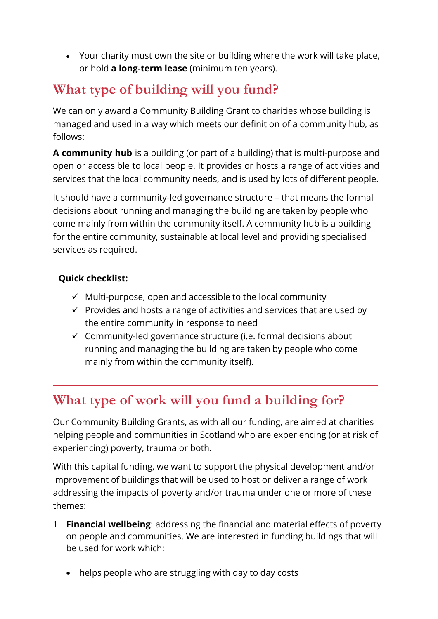• Your charity must own the site or building where the work will take place, or hold **a long-term lease** (minimum ten years).

## **What type of building will you fund?**

We can only award a Community Building Grant to charities whose building is managed and used in a way which meets our definition of a community hub, as follows:

**A community hub** is a building (or part of a building) that is multi-purpose and open or accessible to local people. It provides or hosts a range of activities and services that the local community needs, and is used by lots of different people.

It should have a community-led governance structure – that means the formal decisions about running and managing the building are taken by people who come mainly from within the community itself. A community hub is a building for the entire community, sustainable at local level and providing specialised services as required.

#### **Quick checklist:**

- $\checkmark$  Multi-purpose, open and accessible to the local community
- $\checkmark$  Provides and hosts a range of activities and services that are used by the entire community in response to need
- $\checkmark$  Community-led governance structure (i.e. formal decisions about running and managing the building are taken by people who come mainly from within the community itself).

## **What type of work will you fund a building for?**

Our Community Building Grants, as with all our funding, are aimed at charities helping people and communities in Scotland who are experiencing (or at risk of experiencing) poverty, trauma or both.

With this capital funding, we want to support the physical development and/or improvement of buildings that will be used to host or deliver a range of work addressing the impacts of poverty and/or trauma under one or more of these themes:

- 1. **Financial wellbeing**: addressing the financial and material effects of poverty on people and communities. We are interested in funding buildings that will be used for work which:
	- helps people who are struggling with day to day costs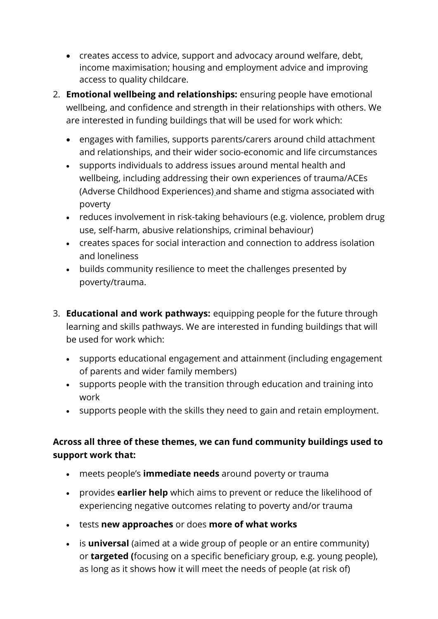- creates access to advice, support and advocacy around welfare, debt, income maximisation; housing and employment advice and improving access to quality childcare.
- 2. **Emotional wellbeing and relationships:** ensuring people have emotional wellbeing, and confidence and strength in their relationships with others. We are interested in funding buildings that will be used for work which:
	- engages with families, supports parents/carers around child attachment and relationships, and their wider socio-economic and life circumstances
	- supports individuals to address issues around mental health and wellbeing, including addressing their own experiences of trauma/ACEs (Adverse Childhood Experiences) and shame and stigma associated with poverty
	- reduces involvement in risk-taking behaviours (e.g. violence, problem drug use, self-harm, abusive relationships, criminal behaviour)
	- creates spaces for social interaction and connection to address isolation and loneliness
	- builds community resilience to meet the challenges presented by poverty/trauma.
- 3. **Educational and work pathways:** equipping people for the future through learning and skills pathways. We are interested in funding buildings that will be used for work which:
	- supports educational engagement and attainment (including engagement of parents and wider family members)
	- supports people with the transition through education and training into work
	- supports people with the skills they need to gain and retain employment.

#### **Across all three of these themes, we can fund community buildings used to support work that:**

- meets people's **immediate needs** around poverty or trauma
- provides **earlier help** which aims to prevent or reduce the likelihood of experiencing negative outcomes relating to poverty and/or trauma
- tests **new approaches** or does **more of what works**
- is **universal** (aimed at a wide group of people or an entire community) or **targeted (**focusing on a specific beneficiary group, e.g. young people), as long as it shows how it will meet the needs of people (at risk of)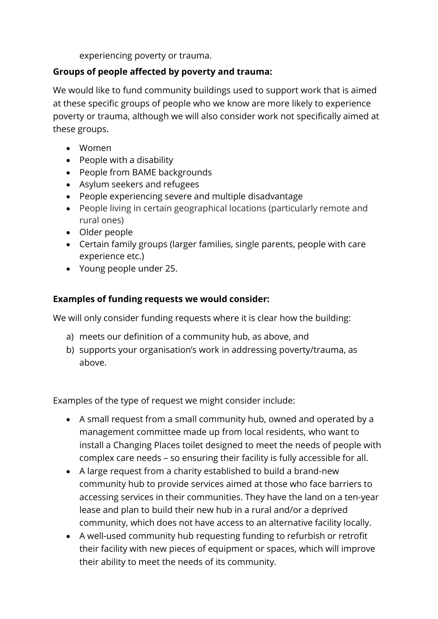experiencing poverty or trauma.

#### **Groups of people affected by poverty and trauma:**

We would like to fund community buildings used to support work that is aimed at these specific groups of people who we know are more likely to experience poverty or trauma, although we will also consider work not specifically aimed at these groups.

- Women
- People with a disability
- People from BAME backgrounds
- Asylum seekers and refugees
- People experiencing severe and multiple disadvantage
- People living in certain geographical locations (particularly remote and rural ones)
- Older people
- Certain family groups (larger families, single parents, people with care experience etc.)
- Young people under 25.

#### **Examples of funding requests we would consider:**

We will only consider funding requests where it is clear how the building:

- a) meets our definition of a community hub, as above, and
- b) supports your organisation's work in addressing poverty/trauma, as above.

Examples of the type of request we might consider include:

- A small request from a small community hub, owned and operated by a management committee made up from local residents, who want to install a Changing Places toilet designed to meet the needs of people with complex care needs – so ensuring their facility is fully accessible for all.
- A large request from a charity established to build a brand-new community hub to provide services aimed at those who face barriers to accessing services in their communities. They have the land on a ten-year lease and plan to build their new hub in a rural and/or a deprived community, which does not have access to an alternative facility locally.
- A well-used community hub requesting funding to refurbish or retrofit their facility with new pieces of equipment or spaces, which will improve their ability to meet the needs of its community.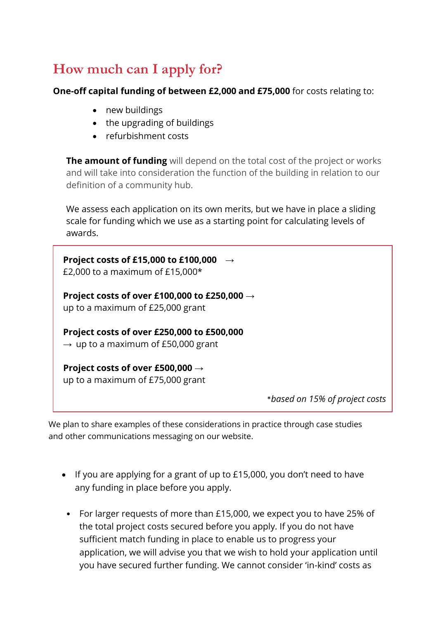## **How much can I apply for?**

**One-off capital funding of between £2,000 and £75,000** for costs relating to:

- new buildings
- the upgrading of buildings
- refurbishment costs

**The amount of funding** will depend on the total cost of the project or works and will take into consideration the function of the building in relation to our definition of a community hub.

We assess each application on its own merits, but we have in place a sliding scale for funding which we use as a starting point for calculating levels of awards.

**Project costs of £15,000 to £100,000** → £2,000 to a maximum of  $£15,000*$ **Project costs of over £100,000 to £250,000** → up to a maximum of £25,000 grant **Project costs of over £250,000 to £500,000**

 $\rightarrow$  up to a maximum of £50,000 grant

**Project costs of over £500,000** → up to a maximum of £75,000 grant

\**based on 15% of project costs*

We plan to share examples of these considerations in practice through case studies and other communications messaging on our website.

- If you are applying for a grant of up to £15,000, you don't need to have any funding in place before you apply.
	- For larger requests of more than £15,000, we expect you to have 25% of the total project costs secured before you apply. If you do not have sufficient match funding in place to enable us to progress your application, we will advise you that we wish to hold your application until you have secured further funding. We cannot consider 'in-kind' costs as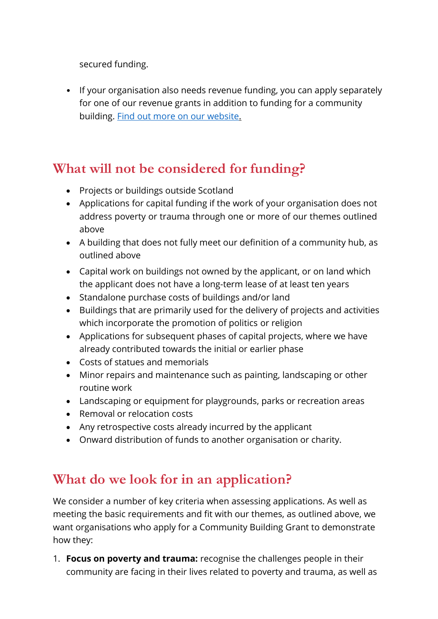secured funding.

• If your organisation also needs revenue funding, you can apply separately for one of our revenue grants in addition to funding for a community building. Find out more on our [website.](https://www.therobertsontrust.org.uk/funding/our-funds/)

### **What will not be considered for funding?**

- Projects or buildings outside Scotland
- Applications for capital funding if the work of your organisation does not address poverty or trauma through one or more of our themes outlined above
- A building that does not fully meet our definition of a community hub, as outlined above
- Capital work on buildings not owned by the applicant, or on land which the applicant does not have a long-term lease of at least ten years
- Standalone purchase costs of buildings and/or land
- Buildings that are primarily used for the delivery of projects and activities which incorporate the promotion of politics or religion
- Applications for subsequent phases of capital projects, where we have already contributed towards the initial or earlier phase
- Costs of statues and memorials
- Minor repairs and maintenance such as painting, landscaping or other routine work
- Landscaping or equipment for playgrounds, parks or recreation areas
- Removal or relocation costs
- Any retrospective costs already incurred by the applicant
- Onward distribution of funds to another organisation or charity.

### **What do we look for in an application?**

We consider a number of key criteria when assessing applications. As well as meeting the basic requirements and fit with our themes, as outlined above, we want organisations who apply for a Community Building Grant to demonstrate how they:

1. **Focus on poverty and trauma:** recognise the challenges people in their community are facing in their lives related to poverty and trauma, as well as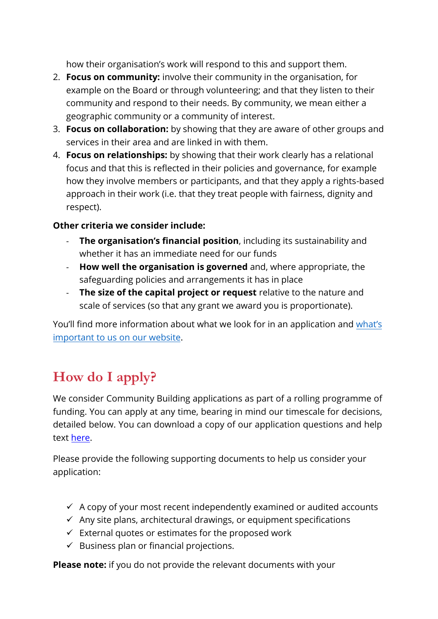how their organisation's work will respond to this and support them.

- 2. **Focus on community:** involve their community in the organisation, for example on the Board or through volunteering; and that they listen to their community and respond to their needs. By community, we mean either a geographic community or a community of interest.
- 3. **Focus on collaboration:** by showing that they are aware of other groups and services in their area and are linked in with them.
- 4. **Focus on relationships:** by showing that their work clearly has a relational focus and that this is reflected in their policies and governance, for example how they involve members or participants, and that they apply a rights-based approach in their work (i.e. that they treat people with fairness, dignity and respect).

#### **Other criteria we consider include:**

- **The organisation's financial position**, including its sustainability and whether it has an immediate need for our funds
- **How well the organisation is governed** and, where appropriate, the safeguarding policies and arrangements it has in place
- **The size of the capital project or request** relative to the nature and scale of services (so that any grant we award you is proportionate).

You'll find more information about what we look for in an application and [what's](https://www.therobertsontrust.org.uk/funding/what-s-important-to-us/) [important to us](https://www.therobertsontrust.org.uk/funding/what-s-important-to-us/) on our website.

# **How do I apply?**

We consider Community Building applications as part of a rolling programme of funding. You can apply at any time, bearing in mind our timescale for decisions, detailed below. You can download a copy of our application questions and help text [here.](https://www.therobertsontrust.org.uk/media/ct5btinj/community-building-grants-application_pdfdownload.pdf) 

Please provide the f[ollowing supporting docu](https://www.tfaforms.com/4853847)ments to help us consider your application:

- $\checkmark$  A copy of your most recent independently examined or audited accounts
- $\checkmark$  Any site plans, architectural drawings, or equipment specifications
- $\checkmark$  External quotes or estimates for the proposed work
- $\checkmark$  Business plan or financial projections.

**Please note:** if you do not provide the relevant documents with your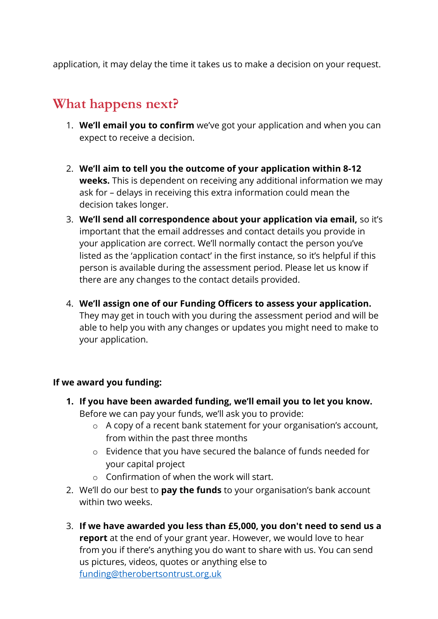application, it may delay the time it takes us to make a decision on your request.

## **What happens next?**

- 1. **We'll email you to confirm** we've got your application and when you can expect to receive a decision.
- 2. **We'll aim to tell you the outcome of your application within 8-12 weeks.** This is dependent on receiving any additional information we may ask for – delays in receiving this extra information could mean the decision takes longer.
- 3. **We'll send all correspondence about your application via email,** so it's important that the email addresses and contact details you provide in your application are correct. We'll normally contact the person you've listed as the 'application contact' in the first instance, so it's helpful if this person is available during the assessment period. Please let us know if there are any changes to the contact details provided.
- 4. **We'll assign one of our Funding Officers to assess your application.** They may get in touch with you during the assessment period and will be able to help you with any changes or updates you might need to make to your application.

#### **If we award you funding:**

- **1. If you have been awarded funding, we'll email you to let you know.** Before we can pay your funds, we'll ask you to provide:
	- o A copy of a recent bank statement for your organisation's account, from within the past three months
	- o Evidence that you have secured the balance of funds needed for your capital project
	- $\circ$  Confirmation of when the work will start.
- 2. We'll do our best to **pay the funds** to your organisation's bank account within two weeks.
- 3. **If we have awarded you less than £5,000, you don't need to send us a report** at the end of your grant year. However, we would love to hear from you if there's anything you do want to share with us. You can send us pictures, videos, quotes or anything else to [funding@therobertsontrust.org.uk](mailto:funding@therobertsontrust.org.uk)